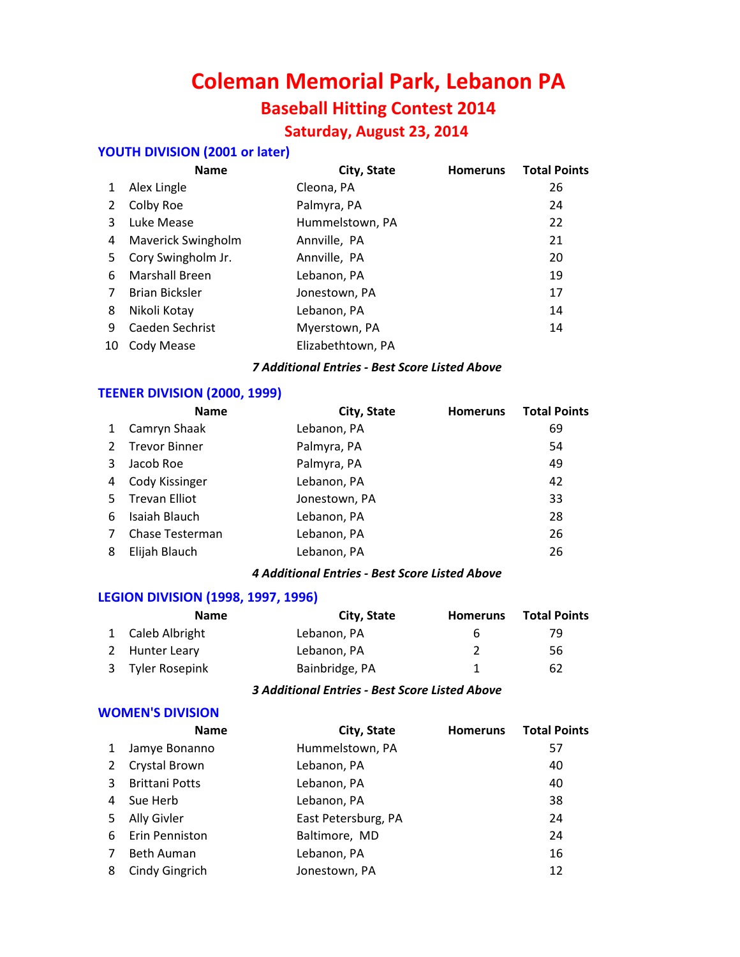# **Coleman Memorial Park, Lebanon PA Baseball Hitting Contest 2014 Saturday, August 23, 2014**

# **YOUTH DIVISION (2001 or later)**

|    | <b>Name</b>           | City, State       | <b>Homeruns</b> | <b>Total Points</b> |
|----|-----------------------|-------------------|-----------------|---------------------|
| 1  | Alex Lingle           | Cleona, PA        |                 | 26                  |
|    | Colby Roe             | Palmyra, PA       |                 | 24                  |
| 3  | Luke Mease            | Hummelstown, PA   |                 | 22                  |
| 4  | Maverick Swingholm    | Annville, PA      |                 | 21                  |
| 5. | Cory Swingholm Jr.    | Annville, PA      |                 | 20                  |
| 6  | <b>Marshall Breen</b> | Lebanon, PA       |                 | 19                  |
| 7  | <b>Brian Bicksler</b> | Jonestown, PA     |                 | 17                  |
| 8  | Nikoli Kotay          | Lebanon, PA       |                 | 14                  |
| 9  | Caeden Sechrist       | Myerstown, PA     |                 | 14                  |
| 10 | Cody Mease            | Elizabethtown, PA |                 |                     |
|    |                       |                   |                 |                     |

#### *7 Additional Entries - Best Score Listed Above*

#### **TEENER DIVISION (2000, 1999)**

|    | <b>Name</b>          | City, State   | <b>Homeruns</b> | <b>Total Points</b> |
|----|----------------------|---------------|-----------------|---------------------|
|    | Camryn Shaak         | Lebanon, PA   |                 | 69                  |
| 2  | <b>Trevor Binner</b> | Palmyra, PA   |                 | 54                  |
| 3  | Jacob Roe            | Palmyra, PA   |                 | 49                  |
| 4  | Cody Kissinger       | Lebanon, PA   |                 | 42                  |
| 5. | <b>Trevan Elliot</b> | Jonestown, PA |                 | 33                  |
| 6  | Isaiah Blauch        | Lebanon, PA   |                 | 28                  |
|    | Chase Testerman      | Lebanon, PA   |                 | 26                  |
| 8  | Elijah Blauch        | Lebanon, PA   |                 | 26                  |
|    |                      |               |                 |                     |

## *4 Additional Entries - Best Score Listed Above*

#### **LEGION DIVISION (1998, 1997, 1996)**

| <b>Name</b>      | City, State    | <b>Homeruns</b> | <b>Total Points</b> |
|------------------|----------------|-----------------|---------------------|
| 1 Caleb Albright | Lebanon, PA    | b               | 79                  |
| 2 Hunter Leary   | Lebanon, PA    |                 | 56                  |
| 3 Tyler Rosepink | Bainbridge, PA |                 | 62                  |

#### *3 Additional Entries - Best Score Listed Above*

#### **WOMEN'S DIVISION**

|    | <b>Name</b>           | City, State         | <b>Homeruns</b> | <b>Total Points</b> |
|----|-----------------------|---------------------|-----------------|---------------------|
| 1  | Jamye Bonanno         | Hummelstown, PA     |                 | 57                  |
| 2  | Crystal Brown         | Lebanon, PA         |                 | 40                  |
| 3  | <b>Brittani Potts</b> | Lebanon, PA         |                 | 40                  |
| 4  | Sue Herb              | Lebanon, PA         |                 | 38                  |
| 5. | Ally Givler           | East Petersburg, PA |                 | 24                  |
| 6. | Erin Penniston        | Baltimore, MD       |                 | 24                  |
| 7  | <b>Beth Auman</b>     | Lebanon, PA         |                 | 16                  |
| 8  | Cindy Gingrich        | Jonestown, PA       |                 | 12                  |